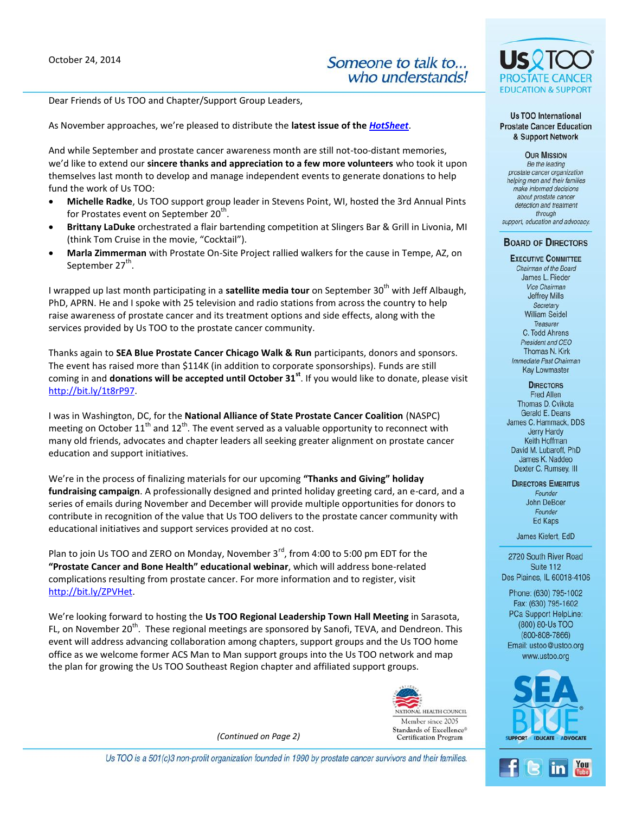Dear Friends of Us TOO and Chapter/Support Group Leaders,

As November approaches, we're pleased to distribute the **latest issue of the** *[HotSheet](http://www.ustoo.org/PDFs/HotSheets/HotSheet112014.pdf)*.

And while September and prostate cancer awareness month are still not-too-distant memories, we'd like to extend our **sincere thanks and appreciation to a few more volunteers** who took it upon themselves last month to develop and manage independent events to generate donations to help fund the work of Us TOO:

- **Michelle Radke**, Us TOO support group leader in Stevens Point, WI, hosted the 3rd Annual Pints for Prostates event on September 20<sup>th</sup>.
- **Brittany LaDuke** orchestrated a flair bartending competition at Slingers Bar & Grill in Livonia, MI (think Tom Cruise in the movie, "Cocktail").
- **Marla Zimmerman** with Prostate On-Site Project rallied walkers for the cause in Tempe, AZ, on September 27 $^{\rm th}$ .

I wrapped up last month participating in a **satellite media tour** on September 30<sup>th</sup> with Jeff Albaugh, PhD, APRN. He and I spoke with 25 television and radio stations from across the country to help raise awareness of prostate cancer and its treatment options and side effects, along with the services provided by Us TOO to the prostate cancer community.

Thanks again to **SEA Blue Prostate Cancer Chicago Walk & Run** participants, donors and sponsors. The event has raised more than \$114K (in addition to corporate sponsorships). Funds are still coming in and **donations will be accepted until October 31st**. If you would like to donate, please visit [http://bit.ly/1t8rP97.](http://bit.ly/1t8rP97)

I was in Washington, DC, for the **National Alliance of State Prostate Cancer Coalition** (NASPC) meeting on October  $11<sup>th</sup>$  and  $12<sup>th</sup>$ . The event served as a valuable opportunity to reconnect with many old friends, advocates and chapter leaders all seeking greater alignment on prostate cancer education and support initiatives.

We're in the process of finalizing materials for our upcoming **"Thanks and Giving" holiday fundraising campaign**. A professionally designed and printed holiday greeting card, an e-card, and a series of emails during November and December will provide multiple opportunities for donors to contribute in recognition of the value that Us TOO delivers to the prostate cancer community with educational initiatives and support services provided at no cost.

Plan to join Us TOO and ZERO on Monday, November  $3^{rd}$ , from 4:00 to 5:00 pm EDT for the **"Prostate Cancer and Bone Health" educational webinar**, which will address bone-related complications resulting from prostate cancer. For more information and to register, visit [http://bit.ly/ZPVHet.](http://bit.ly/ZPVHet)

We're looking forward to hosting the **Us TOO Regional Leadership Town Hall Meeting** in Sarasota, FL, on November 20<sup>th</sup>. These regional meetings are sponsored by Sanofi, TEVA, and Dendreon. This event will address advancing collaboration among chapters, support groups and the Us TOO home office as we welcome former ACS Man to Man support groups into the Us TOO network and map the plan for growing the Us TOO Southeast Region chapter and affiliated support groups.



*(Continued on Page 2)*



Us TOO International **Prostate Cancer Education** & Support Network

**OUR MISSION** Be the leading prostate cancer organization helping men and their families make informed decisions about prostate cancer

detection and treatment through support, education and advocacy.

## **BOARD OF DIRECTORS**

**EXECUTIVE COMMITTEE** Chairman of the Board James L. Rieder Vice Chairman **Jeffrey Mills** Secretary **William Seidel** Treasurer C. Todd Ahrens President and CEO Thomas N. Kirk Immediate Past Chairman **Kay Lowmaster** 

**DIRECTORS** 

Fred Allen Thomas D. Cvikota Gerald E. Deans James C. Hammack, DDS **Jerry Hardy** Keith Hoffman David M. Lubaroff, PhD James K. Naddeo Dexter C. Rumsey, III

**DIRECTORS EMERITUS** Founder John DeBoer Founder Ed Kaps

James Kiefert, EdD

2720 South River Road Suite 112 Des Plaines, IL 60018-4106

Phone: (630) 795-1002 Fax: (630) 795-1602 PCa Support HelpLine: (800) 80-Us TOO  $(800 - 808 - 7866)$ Email: ustoo@ustoo.org www.ustoo.org